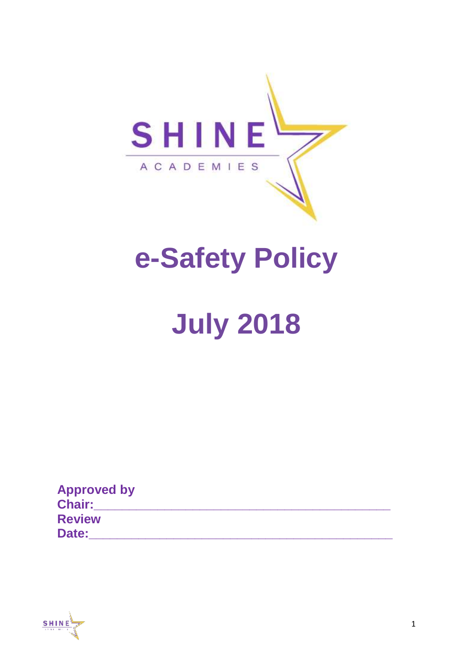

# **e-Safety Policy**

# **July 2018**

| <b>Approved by</b> |  |
|--------------------|--|
| <b>Chair:</b>      |  |
| <b>Review</b>      |  |
| Date:              |  |

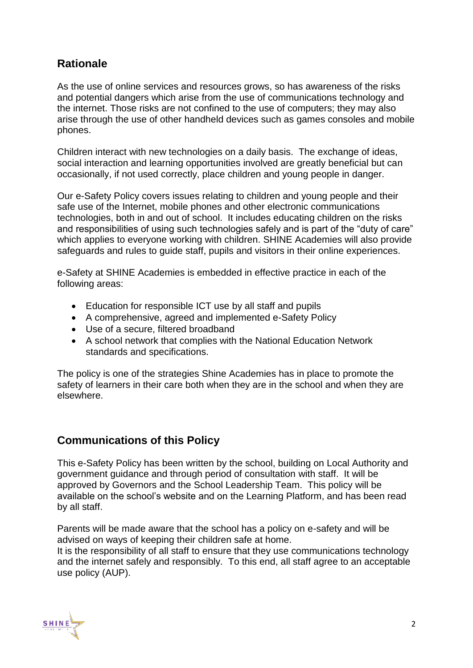#### **Rationale**

As the use of online services and resources grows, so has awareness of the risks and potential dangers which arise from the use of communications technology and the internet. Those risks are not confined to the use of computers; they may also arise through the use of other handheld devices such as games consoles and mobile phones.

Children interact with new technologies on a daily basis. The exchange of ideas, social interaction and learning opportunities involved are greatly beneficial but can occasionally, if not used correctly, place children and young people in danger.

Our e-Safety Policy covers issues relating to children and young people and their safe use of the Internet, mobile phones and other electronic communications technologies, both in and out of school. It includes educating children on the risks and responsibilities of using such technologies safely and is part of the "duty of care" which applies to everyone working with children. SHINE Academies will also provide safeguards and rules to guide staff, pupils and visitors in their online experiences.

e-Safety at SHINE Academies is embedded in effective practice in each of the following areas:

- Education for responsible ICT use by all staff and pupils
- A comprehensive, agreed and implemented e-Safety Policy
- Use of a secure, filtered broadband
- A school network that complies with the National Education Network standards and specifications.

The policy is one of the strategies Shine Academies has in place to promote the safety of learners in their care both when they are in the school and when they are elsewhere.

#### **Communications of this Policy**

This e-Safety Policy has been written by the school, building on Local Authority and government guidance and through period of consultation with staff. It will be approved by Governors and the School Leadership Team. This policy will be available on the school's website and on the Learning Platform, and has been read by all staff.

Parents will be made aware that the school has a policy on e-safety and will be advised on ways of keeping their children safe at home.

It is the responsibility of all staff to ensure that they use communications technology and the internet safely and responsibly. To this end, all staff agree to an acceptable use policy (AUP).

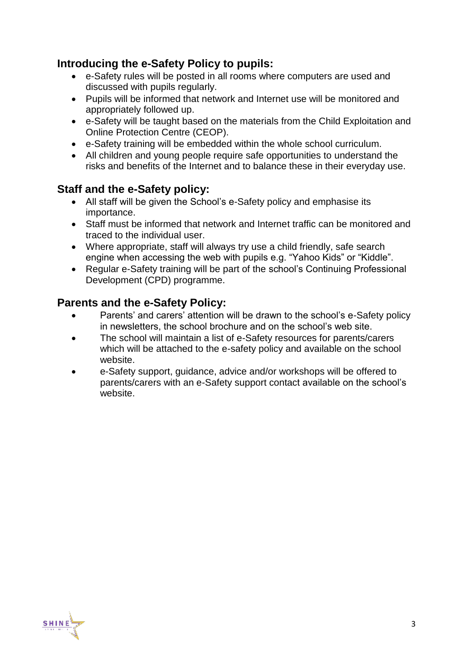#### **Introducing the e-Safety Policy to pupils:**

- e-Safety rules will be posted in all rooms where computers are used and discussed with pupils regularly.
- Pupils will be informed that network and Internet use will be monitored and appropriately followed up.
- e-Safety will be taught based on the materials from the Child Exploitation and Online Protection Centre (CEOP).
- e-Safety training will be embedded within the whole school curriculum.
- All children and young people require safe opportunities to understand the risks and benefits of the Internet and to balance these in their everyday use.

# **Staff and the e-Safety policy:**

- All staff will be given the School's e-Safety policy and emphasise its importance.
- Staff must be informed that network and Internet traffic can be monitored and traced to the individual user.
- Where appropriate, staff will always try use a child friendly, safe search engine when accessing the web with pupils e.g. "Yahoo Kids" or "Kiddle".
- Regular e-Safety training will be part of the school's Continuing Professional Development (CPD) programme.

#### **Parents and the e-Safety Policy:**

- Parents' and carers' attention will be drawn to the school's e-Safety policy in newsletters, the school brochure and on the school's web site.
- The school will maintain a list of e-Safety resources for parents/carers which will be attached to the e-safety policy and available on the school website.
- e-Safety support, guidance, advice and/or workshops will be offered to parents/carers with an e-Safety support contact available on the school's website.

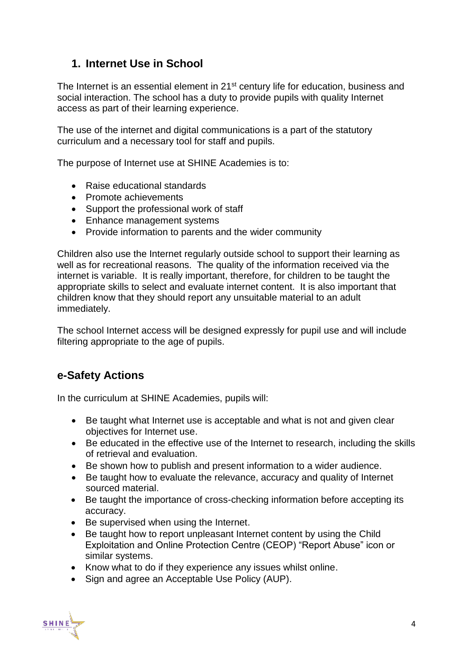# **1. Internet Use in School**

The Internet is an essential element in 21<sup>st</sup> century life for education, business and social interaction. The school has a duty to provide pupils with quality Internet access as part of their learning experience.

The use of the internet and digital communications is a part of the statutory curriculum and a necessary tool for staff and pupils.

The purpose of Internet use at SHINE Academies is to:

- Raise educational standards
- Promote achievements
- Support the professional work of staff
- Enhance management systems
- Provide information to parents and the wider community

Children also use the Internet regularly outside school to support their learning as well as for recreational reasons. The quality of the information received via the internet is variable. It is really important, therefore, for children to be taught the appropriate skills to select and evaluate internet content. It is also important that children know that they should report any unsuitable material to an adult immediately.

The school Internet access will be designed expressly for pupil use and will include filtering appropriate to the age of pupils.

# **e-Safety Actions**

In the curriculum at SHINE Academies, pupils will:

- Be taught what Internet use is acceptable and what is not and given clear objectives for Internet use.
- Be educated in the effective use of the Internet to research, including the skills of retrieval and evaluation.
- Be shown how to publish and present information to a wider audience.
- Be taught how to evaluate the relevance, accuracy and quality of Internet sourced material.
- Be taught the importance of cross-checking information before accepting its accuracy.
- Be supervised when using the Internet.
- Be taught how to report unpleasant Internet content by using the Child Exploitation and Online Protection Centre (CEOP) "Report Abuse" icon or similar systems.
- Know what to do if they experience any issues whilst online.
- Sign and agree an Acceptable Use Policy (AUP).

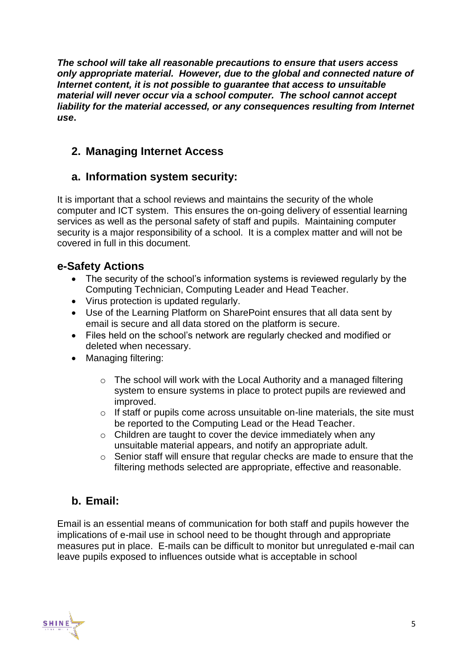*The school will take all reasonable precautions to ensure that users access only appropriate material. However, due to the global and connected nature of Internet content, it is not possible to guarantee that access to unsuitable material will never occur via a school computer. The school cannot accept liability for the material accessed, or any consequences resulting from Internet use***.**

# **2. Managing Internet Access**

# **a. Information system security:**

It is important that a school reviews and maintains the security of the whole computer and ICT system. This ensures the on-going delivery of essential learning services as well as the personal safety of staff and pupils. Maintaining computer security is a major responsibility of a school. It is a complex matter and will not be covered in full in this document.

#### **e-Safety Actions**

- The security of the school's information systems is reviewed regularly by the Computing Technician, Computing Leader and Head Teacher.
- Virus protection is updated regularly.
- Use of the Learning Platform on SharePoint ensures that all data sent by email is secure and all data stored on the platform is secure.
- Files held on the school's network are regularly checked and modified or deleted when necessary.
- Managing filtering:
	- o The school will work with the Local Authority and a managed filtering system to ensure systems in place to protect pupils are reviewed and improved.
	- o If staff or pupils come across unsuitable on-line materials, the site must be reported to the Computing Lead or the Head Teacher.
	- o Children are taught to cover the device immediately when any unsuitable material appears, and notify an appropriate adult.
	- o Senior staff will ensure that regular checks are made to ensure that the filtering methods selected are appropriate, effective and reasonable.

# **b. Email:**

Email is an essential means of communication for both staff and pupils however the implications of e-mail use in school need to be thought through and appropriate measures put in place. E-mails can be difficult to monitor but unregulated e-mail can leave pupils exposed to influences outside what is acceptable in school

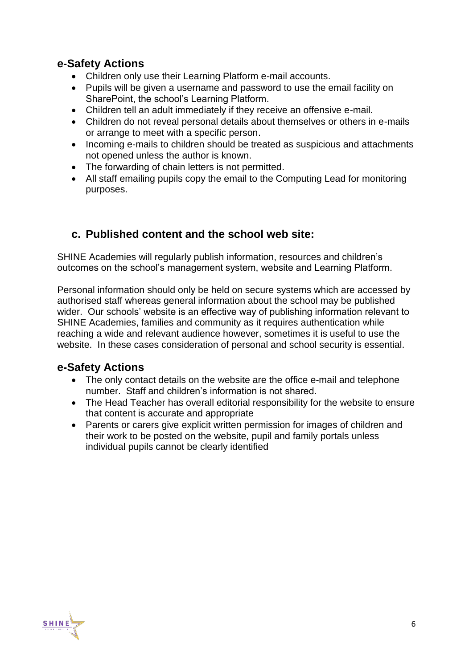#### **e-Safety Actions**

- Children only use their Learning Platform e-mail accounts.
- Pupils will be given a username and password to use the email facility on SharePoint, the school's Learning Platform.
- Children tell an adult immediately if they receive an offensive e-mail.
- Children do not reveal personal details about themselves or others in e-mails or arrange to meet with a specific person.
- Incoming e-mails to children should be treated as suspicious and attachments not opened unless the author is known.
- The forwarding of chain letters is not permitted.
- All staff emailing pupils copy the email to the Computing Lead for monitoring purposes.

#### **c. Published content and the school web site:**

SHINE Academies will regularly publish information, resources and children's outcomes on the school's management system, website and Learning Platform.

Personal information should only be held on secure systems which are accessed by authorised staff whereas general information about the school may be published wider. Our schools' website is an effective way of publishing information relevant to SHINE Academies, families and community as it requires authentication while reaching a wide and relevant audience however, sometimes it is useful to use the website. In these cases consideration of personal and school security is essential.

#### **e-Safety Actions**

- The only contact details on the website are the office e-mail and telephone number. Staff and children's information is not shared.
- The Head Teacher has overall editorial responsibility for the website to ensure that content is accurate and appropriate
- Parents or carers give explicit written permission for images of children and their work to be posted on the website, pupil and family portals unless individual pupils cannot be clearly identified

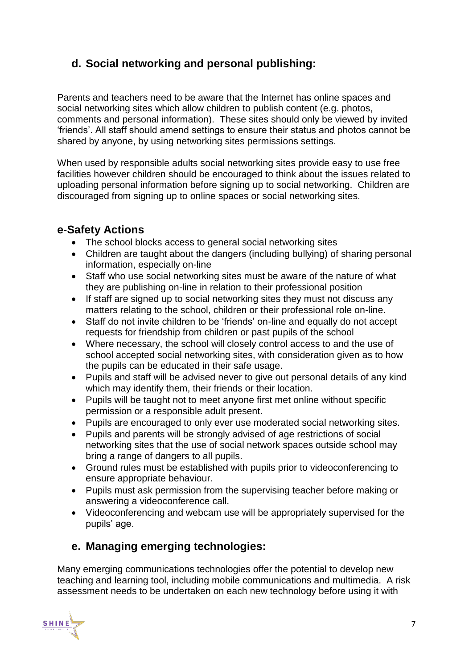# **d. Social networking and personal publishing:**

Parents and teachers need to be aware that the Internet has online spaces and social networking sites which allow children to publish content (e.g. photos, comments and personal information). These sites should only be viewed by invited 'friends'. All staff should amend settings to ensure their status and photos cannot be shared by anyone, by using networking sites permissions settings.

When used by responsible adults social networking sites provide easy to use free facilities however children should be encouraged to think about the issues related to uploading personal information before signing up to social networking. Children are discouraged from signing up to online spaces or social networking sites.

#### **e-Safety Actions**

- The school blocks access to general social networking sites
- Children are taught about the dangers (including bullying) of sharing personal information, especially on-line
- Staff who use social networking sites must be aware of the nature of what they are publishing on-line in relation to their professional position
- If staff are signed up to social networking sites they must not discuss any matters relating to the school, children or their professional role on-line.
- Staff do not invite children to be 'friends' on-line and equally do not accept requests for friendship from children or past pupils of the school
- Where necessary, the school will closely control access to and the use of school accepted social networking sites, with consideration given as to how the pupils can be educated in their safe usage.
- Pupils and staff will be advised never to give out personal details of any kind which may identify them, their friends or their location.
- Pupils will be taught not to meet anyone first met online without specific permission or a responsible adult present.
- Pupils are encouraged to only ever use moderated social networking sites.
- Pupils and parents will be strongly advised of age restrictions of social networking sites that the use of social network spaces outside school may bring a range of dangers to all pupils.
- Ground rules must be established with pupils prior to videoconferencing to ensure appropriate behaviour.
- Pupils must ask permission from the supervising teacher before making or answering a videoconference call.
- Videoconferencing and webcam use will be appropriately supervised for the pupils' age.

# **e. Managing emerging technologies:**

Many emerging communications technologies offer the potential to develop new teaching and learning tool, including mobile communications and multimedia. A risk assessment needs to be undertaken on each new technology before using it with

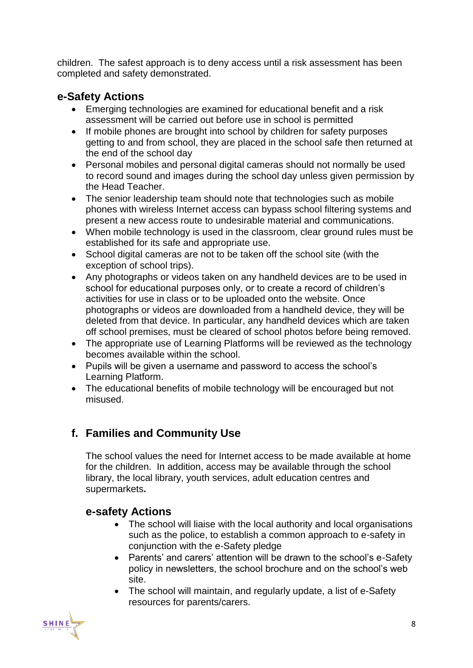children. The safest approach is to deny access until a risk assessment has been completed and safety demonstrated.

#### **e-Safety Actions**

- Emerging technologies are examined for educational benefit and a risk assessment will be carried out before use in school is permitted
- If mobile phones are brought into school by children for safety purposes getting to and from school, they are placed in the school safe then returned at the end of the school day
- Personal mobiles and personal digital cameras should not normally be used to record sound and images during the school day unless given permission by the Head Teacher.
- The senior leadership team should note that technologies such as mobile phones with wireless Internet access can bypass school filtering systems and present a new access route to undesirable material and communications.
- When mobile technology is used in the classroom, clear ground rules must be established for its safe and appropriate use.
- School digital cameras are not to be taken off the school site (with the exception of school trips).
- Any photographs or videos taken on any handheld devices are to be used in school for educational purposes only, or to create a record of children's activities for use in class or to be uploaded onto the website. Once photographs or videos are downloaded from a handheld device, they will be deleted from that device. In particular, any handheld devices which are taken off school premises, must be cleared of school photos before being removed.
- The appropriate use of Learning Platforms will be reviewed as the technology becomes available within the school.
- Pupils will be given a username and password to access the school's Learning Platform.
- The educational benefits of mobile technology will be encouraged but not misused.

# **f. Families and Community Use**

The school values the need for Internet access to be made available at home for the children. In addition, access may be available through the school library, the local library, youth services, adult education centres and supermarkets**.**

#### **e-safety Actions**

- The school will liaise with the local authority and local organisations such as the police, to establish a common approach to e-safety in conjunction with the e-Safety pledge
- Parents' and carers' attention will be drawn to the school's e-Safety policy in newsletters, the school brochure and on the school's web site.
- The school will maintain, and regularly update, a list of e-Safety resources for parents/carers.

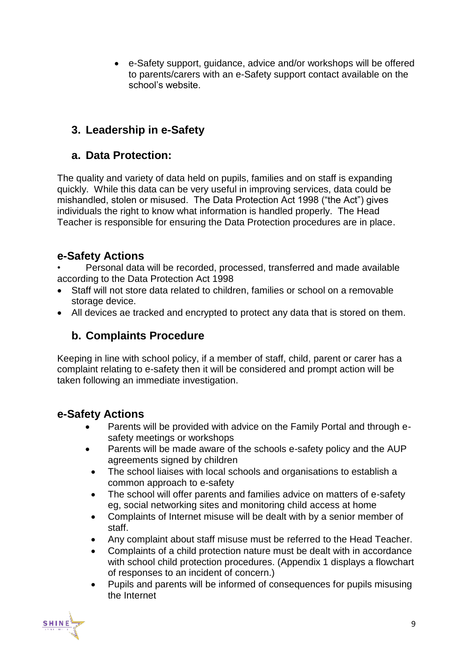e-Safety support, guidance, advice and/or workshops will be offered to parents/carers with an e-Safety support contact available on the school's website.

# **3. Leadership in e-Safety**

#### **a. Data Protection:**

The quality and variety of data held on pupils, families and on staff is expanding quickly. While this data can be very useful in improving services, data could be mishandled, stolen or misused. The Data Protection Act 1998 ("the Act") gives individuals the right to know what information is handled properly. The Head Teacher is responsible for ensuring the Data Protection procedures are in place.

# **e-Safety Actions**

• Personal data will be recorded, processed, transferred and made available according to the Data Protection Act 1998

- Staff will not store data related to children, families or school on a removable storage device.
- All devices ae tracked and encrypted to protect any data that is stored on them.

# **b. Complaints Procedure**

Keeping in line with school policy, if a member of staff, child, parent or carer has a complaint relating to e-safety then it will be considered and prompt action will be taken following an immediate investigation.

#### **e-Safety Actions**

- Parents will be provided with advice on the Family Portal and through esafety meetings or workshops
- Parents will be made aware of the schools e-safety policy and the AUP agreements signed by children
- The school liaises with local schools and organisations to establish a common approach to e-safety
- The school will offer parents and families advice on matters of e-safety eg, social networking sites and monitoring child access at home
- Complaints of Internet misuse will be dealt with by a senior member of staff.
- Any complaint about staff misuse must be referred to the Head Teacher.
- Complaints of a child protection nature must be dealt with in accordance with school child protection procedures. (Appendix 1 displays a flowchart of responses to an incident of concern.)
- Pupils and parents will be informed of consequences for pupils misusing the Internet

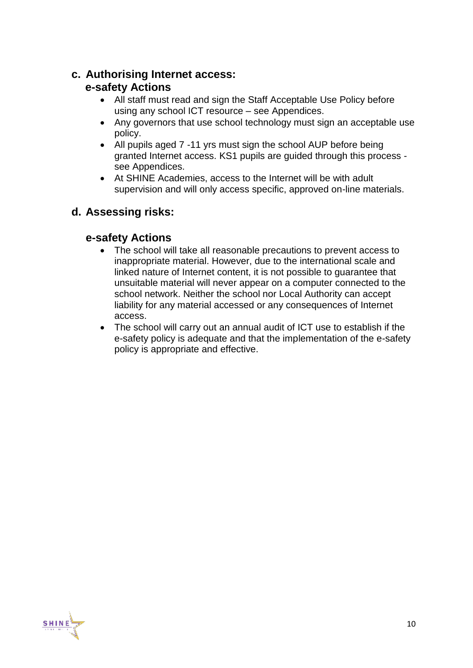#### **c. Authorising Internet access: e-safety Actions**

- All staff must read and sign the Staff Acceptable Use Policy before using any school ICT resource – see Appendices.
- Any governors that use school technology must sign an acceptable use policy.
- All pupils aged 7 -11 yrs must sign the school AUP before being granted Internet access. KS1 pupils are guided through this process see Appendices.
- At SHINE Academies, access to the Internet will be with adult supervision and will only access specific, approved on-line materials.

# **d. Assessing risks:**

#### **e-safety Actions**

- The school will take all reasonable precautions to prevent access to inappropriate material. However, due to the international scale and linked nature of Internet content, it is not possible to guarantee that unsuitable material will never appear on a computer connected to the school network. Neither the school nor Local Authority can accept liability for any material accessed or any consequences of Internet access.
- The school will carry out an annual audit of ICT use to establish if the e-safety policy is adequate and that the implementation of the e-safety policy is appropriate and effective.

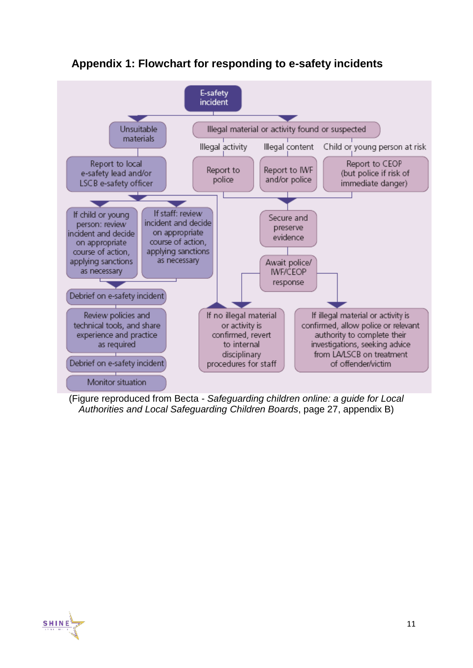

#### **Appendix 1: Flowchart for responding to e-safety incidents**

(Figure reproduced from Becta - *Safeguarding children online: a guide for Local Authorities and Local Safeguarding Children Boards*, page 27, appendix B)

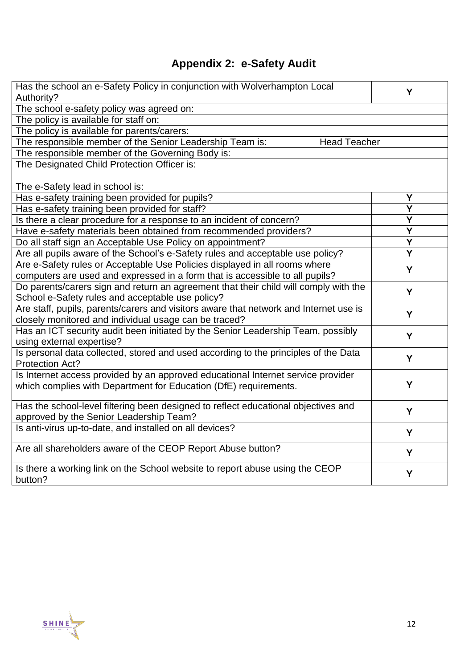# **Appendix 2: e-Safety Audit**

| Has the school an e-Safety Policy in conjunction with Wolverhampton Local<br>Authority?                                                                    | Y                       |  |
|------------------------------------------------------------------------------------------------------------------------------------------------------------|-------------------------|--|
| The school e-safety policy was agreed on:                                                                                                                  |                         |  |
| The policy is available for staff on:                                                                                                                      |                         |  |
| The policy is available for parents/carers:                                                                                                                |                         |  |
| <b>Head Teacher</b><br>The responsible member of the Senior Leadership Team is:                                                                            |                         |  |
| The responsible member of the Governing Body is:                                                                                                           |                         |  |
| The Designated Child Protection Officer is:                                                                                                                |                         |  |
| The e-Safety lead in school is:                                                                                                                            |                         |  |
| Has e-safety training been provided for pupils?                                                                                                            | Y                       |  |
| Has e-safety training been provided for staff?                                                                                                             | $\overline{\mathsf{Y}}$ |  |
| Is there a clear procedure for a response to an incident of concern?                                                                                       | Y                       |  |
| Have e-safety materials been obtained from recommended providers?                                                                                          | Y                       |  |
| Do all staff sign an Acceptable Use Policy on appointment?                                                                                                 | Y                       |  |
| Are all pupils aware of the School's e-Safety rules and acceptable use policy?                                                                             | $\overline{\mathsf{Y}}$ |  |
| Are e-Safety rules or Acceptable Use Policies displayed in all rooms where<br>computers are used and expressed in a form that is accessible to all pupils? | Y                       |  |
| Do parents/carers sign and return an agreement that their child will comply with the                                                                       |                         |  |
| School e-Safety rules and acceptable use policy?                                                                                                           | Y                       |  |
| Are staff, pupils, parents/carers and visitors aware that network and Internet use is                                                                      | Y                       |  |
| closely monitored and individual usage can be traced?                                                                                                      |                         |  |
| Has an ICT security audit been initiated by the Senior Leadership Team, possibly<br>using external expertise?                                              | Y                       |  |
| Is personal data collected, stored and used according to the principles of the Data<br>Protection Act?                                                     | Y                       |  |
| Is Internet access provided by an approved educational Internet service provider<br>which complies with Department for Education (DfE) requirements.       | Y                       |  |
|                                                                                                                                                            |                         |  |
| Has the school-level filtering been designed to reflect educational objectives and<br>approved by the Senior Leadership Team?                              | Y                       |  |
| Is anti-virus up-to-date, and installed on all devices?                                                                                                    |                         |  |
|                                                                                                                                                            | Y                       |  |
| Are all shareholders aware of the CEOP Report Abuse button?                                                                                                | Y                       |  |
| Is there a working link on the School website to report abuse using the CEOP<br>button?                                                                    | Y                       |  |

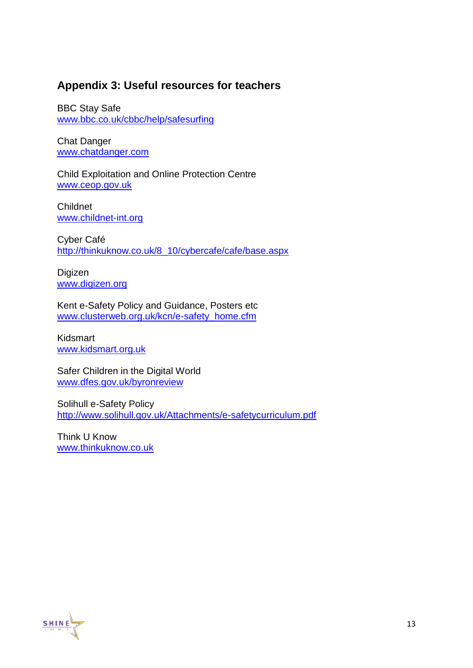#### **Appendix 3: Useful resources for teachers**

BBC Stay Safe [www.bbc.co.uk/cbbc/help/safesurfing](http://www.bbc.co.uk/cbbc/help/safesurfing)

Chat Danger [www.chatdanger.com](http://www.chatdanger.com/)

Child Exploitation and Online Protection Centre [www.ceop.gov.uk](http://www.ceop.gov.uk/)

Childnet [www.childnet-int.org](http://www.childnet-int.org/)

Cyber Café [http://thinkuknow.co.uk/8\\_10/cybercafe/cafe/base.aspx](http://thinkuknow.co.uk/8_10/cybercafe/cafe/base.aspx)

Digizen [www.digizen.org](http://www.digizen.org/)

Kent e-Safety Policy and Guidance, Posters etc [www.clusterweb.org.uk/kcn/e-safety\\_home.cfm](http://www.clusterweb.org.uk/kcn/e-safety_home.cfm)

Kidsmart [www.kidsmart.org.uk](http://www.kidsmart.org.uk/)

Safer Children in the Digital World [www.dfes.gov.uk/byronreview](http://www.dfes.gov.uk/byronreview/)

Solihull e-Safety Policy <http://www.solihull.gov.uk/Attachments/e-safetycurriculum.pdf>

Think U Know [www.thinkuknow.co.uk](http://www.thinkuknow.co.uk/)

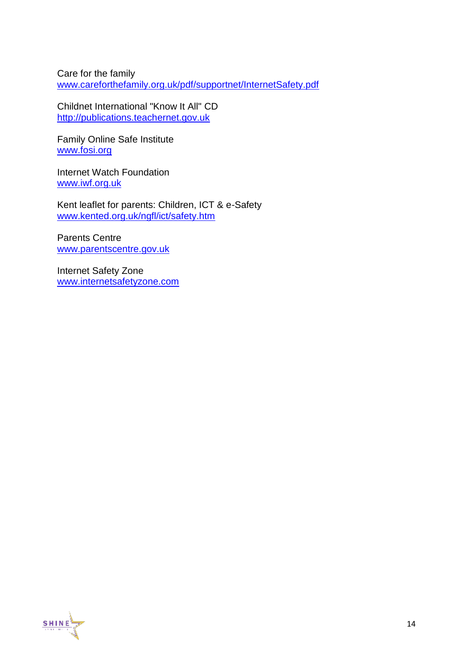Care for the family [www.careforthefamily.org.uk/pdf/supportnet/InternetSafety.pdf](http://www.careforthefamily.org.uk/pdf/supportnet/InternetSafety.pdf)

Childnet International "Know It All" CD [http://publications.teachernet.gov.uk](http://publications.teachernet.gov.uk/)

Family Online Safe Institute [www.fosi.org](http://www.fosi.org/)

Internet Watch Foundation [www.iwf.org.uk](http://www.iwf.org.uk/)

Kent leaflet for parents: Children, ICT & e-Safety [www.kented.org.uk/ngfl/ict/safety.htm](http://www.kented.org.uk/ngfl/ict/safety.htm)

Parents Centre [www.parentscentre.gov.uk](http://www.parentscentre.gov.uk/)

Internet Safety Zone [www.internetsafetyzone.com](http://www.internetsafetyzone.com/)

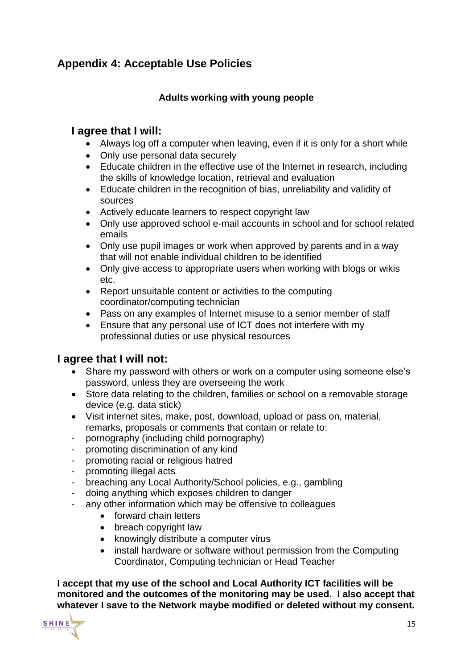# **Appendix 4: Acceptable Use Policies**

#### **Adults working with young people**

#### **I agree that I will:**

- Always log off a computer when leaving, even if it is only for a short while
- Only use personal data securely
- Educate children in the effective use of the Internet in research, including the skills of knowledge location, retrieval and evaluation
- Educate children in the recognition of bias, unreliability and validity of sources
- Actively educate learners to respect copyright law
- Only use approved school e-mail accounts in school and for school related emails
- Only use pupil images or work when approved by parents and in a way that will not enable individual children to be identified
- Only give access to appropriate users when working with blogs or wikis etc.
- Report unsuitable content or activities to the computing coordinator/computing technician
- Pass on any examples of Internet misuse to a senior member of staff
- Ensure that any personal use of ICT does not interfere with my professional duties or use physical resources

#### **I agree that I will not:**

- Share my password with others or work on a computer using someone else's password, unless they are overseeing the work
- Store data relating to the children, families or school on a removable storage device (e.g. data stick)
- Visit internet sites, make, post, download, upload or pass on, material, remarks, proposals or comments that contain or relate to:
- pornography (including child pornography)
- promoting discrimination of any kind
- promoting racial or religious hatred
- promoting illegal acts
- breaching any Local Authority/School policies, e.g., gambling
- doing anything which exposes children to danger
- any other information which may be offensive to colleagues
	- forward chain letters
	- breach copyright law
	- knowingly distribute a computer virus
	- install hardware or software without permission from the Computing Coordinator, Computing technician or Head Teacher

**I accept that my use of the school and Local Authority ICT facilities will be monitored and the outcomes of the monitoring may be used. I also accept that whatever I save to the Network maybe modified or deleted without my consent.**

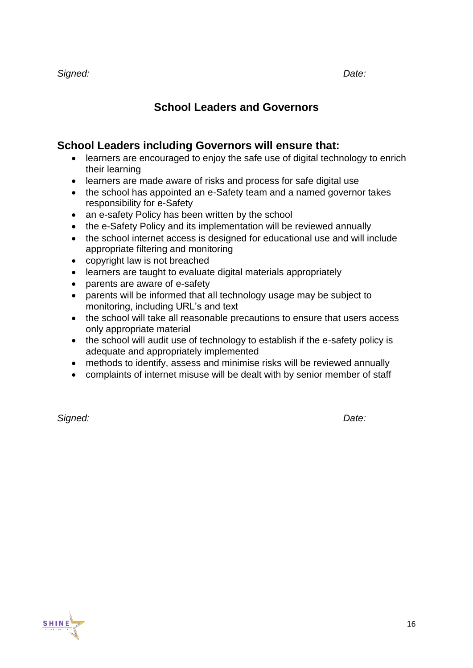# **School Leaders and Governors**

#### **School Leaders including Governors will ensure that:**

- learners are encouraged to enjoy the safe use of digital technology to enrich their learning
- learners are made aware of risks and process for safe digital use
- the school has appointed an e-Safety team and a named governor takes responsibility for e-Safety
- an e-safety Policy has been written by the school
- the e-Safety Policy and its implementation will be reviewed annually
- the school internet access is designed for educational use and will include appropriate filtering and monitoring
- copyright law is not breached
- learners are taught to evaluate digital materials appropriately
- parents are aware of e-safety
- parents will be informed that all technology usage may be subject to monitoring, including URL's and text
- the school will take all reasonable precautions to ensure that users access only appropriate material
- the school will audit use of technology to establish if the e-safety policy is adequate and appropriately implemented
- methods to identify, assess and minimise risks will be reviewed annually
- complaints of internet misuse will be dealt with by senior member of staff

*Signed: Date:*

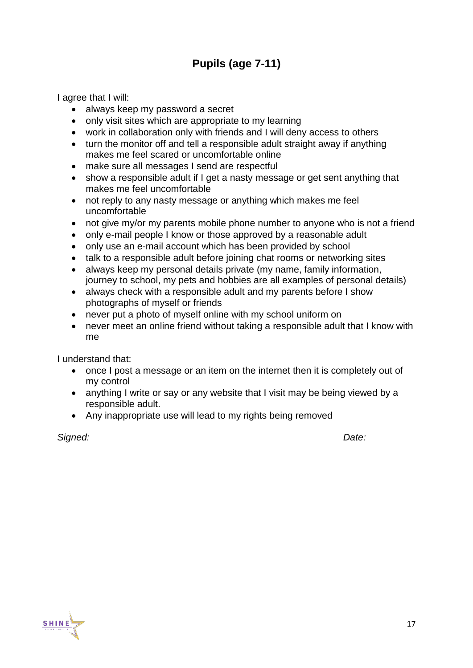# **Pupils (age 7-11)**

I agree that I will:

- always keep my password a secret
- only visit sites which are appropriate to my learning
- work in collaboration only with friends and I will deny access to others
- turn the monitor off and tell a responsible adult straight away if anything makes me feel scared or uncomfortable online
- make sure all messages I send are respectful
- show a responsible adult if I get a nasty message or get sent anything that makes me feel uncomfortable
- not reply to any nasty message or anything which makes me feel uncomfortable
- not give my/or my parents mobile phone number to anyone who is not a friend
- only e-mail people I know or those approved by a reasonable adult
- only use an e-mail account which has been provided by school
- talk to a responsible adult before joining chat rooms or networking sites
- always keep my personal details private (my name, family information, journey to school, my pets and hobbies are all examples of personal details)
- always check with a responsible adult and my parents before I show photographs of myself or friends
- never put a photo of myself online with my school uniform on
- never meet an online friend without taking a responsible adult that I know with me

I understand that:

- once I post a message or an item on the internet then it is completely out of my control
- anything I write or say or any website that I visit may be being viewed by a responsible adult.
- Any inappropriate use will lead to my rights being removed

*Signed: Date:*